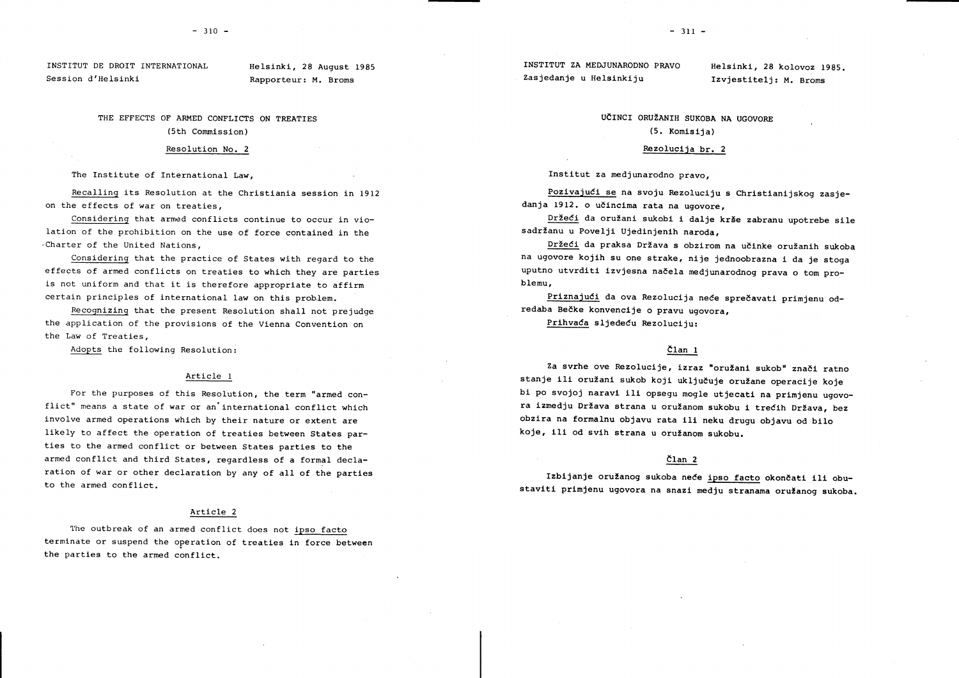Session d'Helsinki Rapporteur: M. Broms Zasjedanje u Helsinkiju Izvjestitelj: M. Broms

THE EFFECTS OF ARMED CONFLICTS ON TREATTES (5tn Commisslon)

#### Resolution No. <sup>2</sup>

The Institute of International Law,

Recalling its Resolution at the Christianla session in I9f2 on the effects of war on treaties,

Considering that armed conflicts continue to occur in violation of the prohibition on the use of force contained in the .Charter of the United Nations,

Considerinq that the practice of States with regard to the effects of armed conflicts on treaties to which they are parties is not uniform and that it is therefore appropriate to affirm certain principles of international law on this problem.

Recoqnizinq that the present Resolution shall not prejudge the application of the provisions of the Vienna Convention on the Law of Treaties,

Adopts the following Resolution:

# Article I

For the purposes of this Resolution, the term "armed conflict" means a state of war or an'international conflict which involve armed operations which by their nature or extent are likely to affect the operation of treaties between States parties to the armed conflict or between States parties to the armed conflict and third States, regardless of a formal declaration of war or other declaration by any of all of the parties to the armed conflict.

### Article 2

The outbreak of an armed conflict does not ipso facto terminate or suspend the operation of treaties in force between the partles to the armed conflict.

# UČINCI ORUŽANIH SUKOBA NA UGOVORE (5. Komlslja)

# Rezolucija br. 2

Instltut za medjunarodno pravo,

Pozivajući se na svoju Rezoluciju s Christianijskog zasjedanja 1912. o učincima rata na ugovore,

Držeći da oružani sukobi i dalje krše zabranu upotrebe sile sadržanu u Povelji Ujedinjenih naroda,

Držeći da praksa Država s obzirom na učinke oružanih sukoba na ugovore kojlh su one strake, nlje jednoobrazna i da je stoga uputno utvrditi izvjesna načela medjunarodnog prava o tom problemu,

Priznajući da ova Rezolucija neće sprečavati primjenu odredaba Bečke konvencije o pravu ugovora,

Prlhvada sljedeCu Rezoluclju:

# dlan I

Za svrhe ove Rezolucije, izraz "oružani sukob" znači ratno stanje ili oružani sukob koji uključuje oružane operacije koje bi po svojoj naravi ili opsegu mogle utjecati na primjenu ugovora izmedju Država strana u oružanom sukobu i trećih Država, bez obzira na formalnu objavu rata ili neku drugu objavu od bilo koje, ili od svih strana u oružanom sukobu.

### CIan <sup>2</sup>

Izbijanje oružanog sukoba neće ipso facto okončati ili obustaviti primjenu ugovora na snazi medju stranama oružanog sukoba.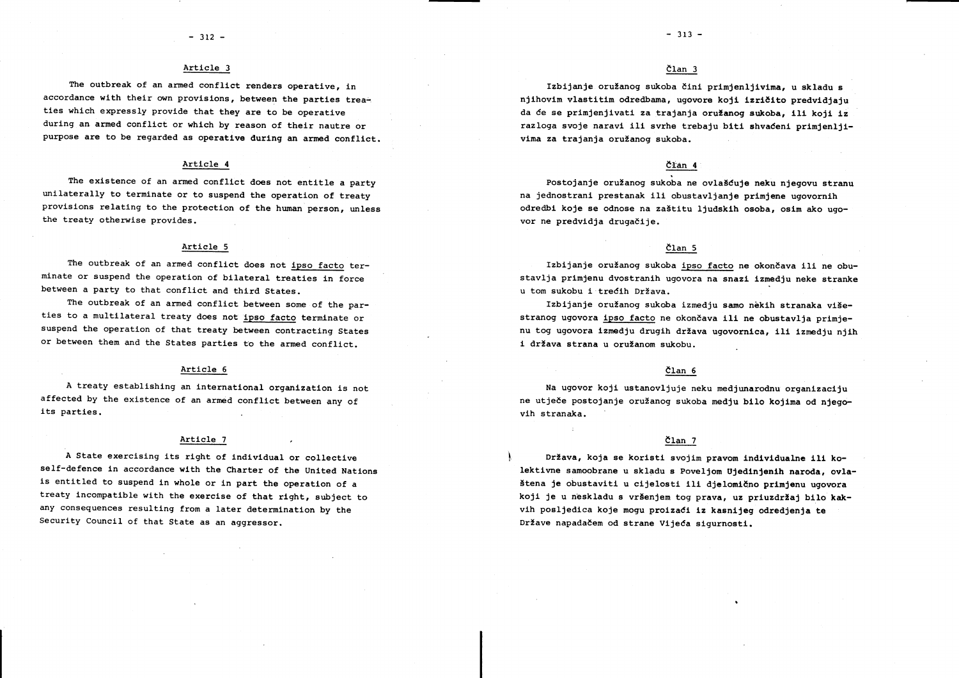# Article <sup>3</sup>

The outbreak of an armed conflict renders operative, in accordance with their own provisions, between the parties treaties which expressly provide that they are to be operative during an armed conflict or which by reason of their nautre or purpose are to be regarded as operative during an armed conflict.

#### Article <sup>4</sup>

The existence of an armed conflict does not entitle a party unilaterally to terminate or to suspend the operation of treaty provisions relating to the protection of the human person, unless the treaty otherwise provides.

#### Artiele <sup>5</sup>

The outbreak of an armed conflict does not lpso facto terminate or suspend the operation of bilateral treaties in force between a party to that conflict and third States.

The outbreak of an armed conflict between some of the parties to a multilateral treaty does not ipso facto terminate or suspend the operation of that treaty between eontracting States or between them and the States parties to the armed conflict.

#### Article <sup>6</sup>

A treaty establishing an international organization is not affected by the existence of an armed conflict between any of its parties.

#### Artlcle <sup>7</sup>

A State exercising its right of individual or collective self-defence in accordance with the Charter of the United Nations is entitled to suspend in whole or in part the operation of a treaty incompatible with the exercise of that right, subject to any consequences resulting from a later determination by the Security Council of that State as an aggressor.

# dlan <sup>3</sup>

Izbijanje oružanog sukoba čini primjenljivima, u skladu s niihovim vlastitim odredbama, ugovore koji izričito predvidjaju da će se primjenjivati za trajanja oružanog sukoba, ili koji iz razloga svoje naravi ili svrhe trebaju biti shvaćeni primjenljivima za trajanja oružanog sukoba.

# Clan <sup>4</sup>

Postojanje oružanog sukoba ne ovlašćuje neku njegovu stranu na jednostrani prestanak ili obustavljanje primjene ugovornih odredbi koje se odnose na zaštitu ljudskih osoba, osim ako ugovor ne predvidja drugačije.

## dlan <sup>5</sup>

Izbijanje oružanog sukoba ipso facto ne okončava ili ne obustavlja primjenu dvostranih ugovora na snazi izmedju neke stranke u tom sukobu i trećih Država.

Izbijanje oružanog sukoba izmedju samo nekih stranaka višestranog ugovora ipso facto ne okončava ili ne obustavlja primjenu tog ugovora izmedju drugih država ugovornica, ili izmedju njih i država strana u oružanom sukobu.

# dlan <sup>5</sup>

Na ugovor kojl ustanovljuje neku medjunarodnu organlzaclju ne utječe postojanje oružanog sukoba medju b<mark>ilo kojima</mark> od njegovih stranaka.

# $\text{član}$  7

Država, koja se koristi svojim pravom individualne ili kolektivne samoobrane u skladu s Poveljom Ujedinjenih naroda, ovlaštena je obustaviti u cijelosti ili djelomično primjenu ugovora koji je u neskladu s vršenjem tog prava, uz priuzdržaj bilo kakvih posljedica koje mogu proizaći iz kasnijeg odredjenja te Države napadačem od strane Vijeća sigurnosti.